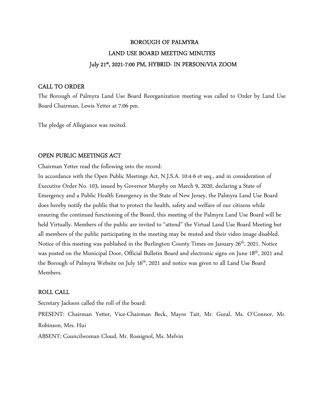# BOROUGH OF PALMYRA LAND USE BOARD MEETING MINUTES July 21st , 2021-7:00 PM, HYBRID- IN PERSON/VIA ZOOM

## CALL TO ORDER

The Borough of Palmyra Land Use Board Reorganization meeting was called to Order by Land Use Board Chairman, Lewis Yetter at 7:06 pm.

The pledge of Allegiance was recited.

## OPEN PUBLIC MEETINGS ACT

Chairman Yetter read the following into the record:

In accordance with the Open Public Meetings Act, N.J.S.A. 10:4-6 et seq., and in consideration of Executive Order No. 103, issued by Governor Murphy on March 9, 2020, declaring a State of Emergency and a Public Health Emergency in the State of New Jersey, the Palmyra Land Use Board does hereby notify the public that to protect the health, safety and welfare of our citizens while ensuring the continued functioning of the Board, this meeting of the Palmyra Land Use Board will be held Virtually. Members of the public are invited to "attend" the Virtual Land Use Board Meeting but all members of the public participating in the meeting may be muted and their video image disabled. Notice of this meeting was published in the Burlington County Times on January 26<sup>th</sup>, 2021. Notice was posted on the Municipal Door, Official Bulletin Board and electronic signs on June 18<sup>th</sup>, 2021 and the Borough of Palmyra Website on July 16<sup>th</sup>, 2021 and notice was given to all Land Use Board Members.

## ROLL CALL

Secretary Jackson called the roll of the board: PRESENT: Chairman Yetter, Vice-Chairman Beck, Mayor Tait, Mr. Gural, Ms. O'Connor, Mr. Robinson, Mrs. Hui ABSENT: Councilwoman Cloud, Mr. Rossignol, Ms. Melvin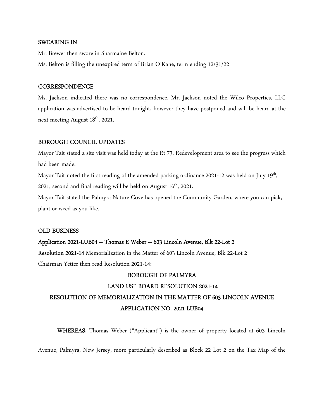#### SWEARING IN

Mr. Brewer then swore in Sharmaine Belton.

Ms. Belton is filling the unexpired term of Brian O'Kane, term ending 12/31/22

#### **CORRESPONDENCE**

Ms. Jackson indicated there was no correspondence. Mr. Jackson noted the Wilco Properties, LLC application was advertised to be heard tonight, however they have postponed and will be heard at the next meeting August 18<sup>th</sup>, 2021.

#### BOROUGH COUNCIL UPDATES

Mayor Tait stated a site visit was held today at the Rt 73. Redevelopment area to see the progress which had been made.

Mayor Tait noted the first reading of the amended parking ordinance 2021-12 was held on July 19<sup>th</sup>, 2021, second and final reading will be held on August  $16<sup>th</sup>$ , 2021.

Mayor Tait stated the Palmyra Nature Cove has opened the Community Garden, where you can pick, plant or weed as you like.

#### OLD BUSINESS

#### Application 2021-LUB04 – Thomas E Weber – 603 Lincoln Avenue, Blk 22-Lot 2

Resolution 2021-14 Memorialization in the Matter of 603 Lincoln Avenue, Blk 22-Lot 2

Chairman Yetter then read Resolution 2021-14:

### BOROUGH OF PALMYRA

#### LAND USE BOARD RESOLUTION 2021-14

## RESOLUTION OF MEMORIALIZATION IN THE MATTER OF 603 LINCOLN AVENUE APPLICATION NO. 2021-LUB04

WHEREAS, Thomas Weber ("Applicant") is the owner of property located at 603 Lincoln

Avenue, Palmyra, New Jersey, more particularly described as Block 22 Lot 2 on the Tax Map of the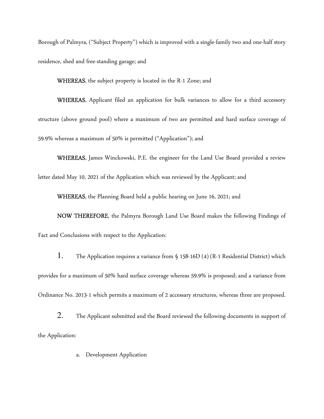Borough of Palmyra, ("Subject Property") which is improved with a single-family two and one-half story residence, shed and free-standing garage; and

WHEREAS, the subject property is located in the R-1 Zone; and

WHEREAS, Applicant filed an application for bulk variances to allow for a third accessory structure (above ground pool) where a maximum of two are permitted and hard surface coverage of 59.9% whereas a maximum of 50% is permitted ("Application"); and

WHEREAS, James Winckowski, P.E. the engineer for the Land Use Board provided a review letter dated May 10, 2021 of the Application which was reviewed by the Applicant; and

WHEREAS, the Planning Board held a public hearing on June 16, 2021; and

NOW THEREFORE, the Palmyra Borough Land Use Board makes the following Findings of Fact and Conclusions with respect to the Application:

1. The Application requires a variance from § 158-16D (4) (R-1 Residential District) which provides for a maximum of 50% hard surface coverage whereas 59.9% is proposed; and a variance from Ordinance No. 2013-1 which permits a maximum of 2 accessary structures, whereas three are proposed.

2. The Applicant submitted and the Board reviewed the following documents in support of the Application:

a. Development Application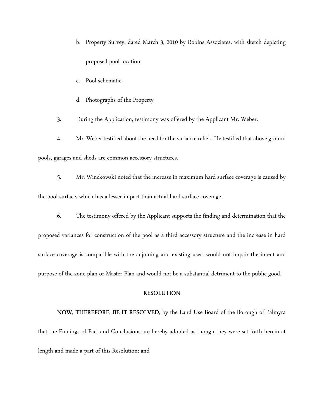- b. Property Survey, dated March 3, 2010 by Robins Associates, with sketch depicting proposed pool location
- c. Pool schematic
- d. Photographs of the Property

3. During the Application, testimony was offered by the Applicant Mr. Weber.

4. Mr. Weber testified about the need for the variance relief. He testified that above ground

pools, garages and sheds are common accessory structures.

- 5. Mr. Winckowski noted that the increase in maximum hard surface coverage is caused by the pool surface, which has a lesser impact than actual hard surface coverage.
	- 6. The testimony offered by the Applicant supports the finding and determination that the

proposed variances for construction of the pool as a third accessory structure and the increase in hard surface coverage is compatible with the adjoining and existing uses, would not impair the intent and purpose of the zone plan or Master Plan and would not be a substantial detriment to the public good.

#### RESOLUTION

NOW, THEREFORE, BE IT RESOLVED, by the Land Use Board of the Borough of Palmyra that the Findings of Fact and Conclusions are hereby adopted as though they were set forth herein at length and made a part of this Resolution; and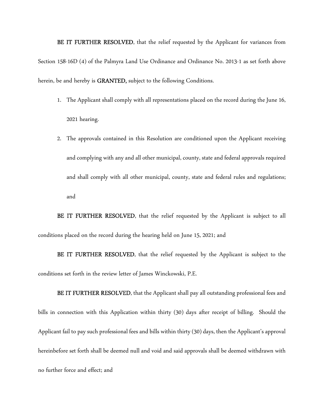BE IT FURTHER RESOLVED, that the relief requested by the Applicant for variances from Section 158-16D (4) of the Palmyra Land Use Ordinance and Ordinance No. 2013-1 as set forth above herein, be and hereby is GRANTED, subject to the following Conditions.

- 1. The Applicant shall comply with all representations placed on the record during the June 16, 2021 hearing.
- 2. The approvals contained in this Resolution are conditioned upon the Applicant receiving and complying with any and all other municipal, county, state and federal approvals required and shall comply with all other municipal, county, state and federal rules and regulations; and

BE IT FURTHER RESOLVED, that the relief requested by the Applicant is subject to all conditions placed on the record during the hearing held on June 15, 2021; and

BE IT FURTHER RESOLVED, that the relief requested by the Applicant is subject to the conditions set forth in the review letter of James Winckowski, P.E.

BE IT FURTHER RESOLVED, that the Applicant shall pay all outstanding professional fees and bills in connection with this Application within thirty (30) days after receipt of billing. Should the Applicant fail to pay such professional fees and bills within thirty (30) days, then the Applicant's approval hereinbefore set forth shall be deemed null and void and said approvals shall be deemed withdrawn with no further force and effect; and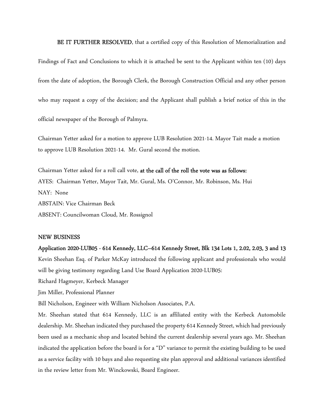BE IT FURTHER RESOLVED, that a certified copy of this Resolution of Memorialization and

Findings of Fact and Conclusions to which it is attached be sent to the Applicant within ten (10) days from the date of adoption, the Borough Clerk, the Borough Construction Official and any other person who may request a copy of the decision; and the Applicant shall publish a brief notice of this in the official newspaper of the Borough of Palmyra.

Chairman Yetter asked for a motion to approve LUB Resolution 2021-14. Mayor Tait made a motion to approve LUB Resolution 2021-14. Mr. Gural second the motion.

Chairman Yetter asked for a roll call vote, at the call of the roll the vote was as follows: AYES: Chairman Yetter, Mayor Tait, Mr. Gural, Ms. O'Connor, Mr. Robinson, Ms. Hui NAY: None ABSTAIN: Vice Chairman Beck ABSENT: Councilwoman Cloud, Mr. Rossignol

#### NEW BUSINESS

## Application 2020-LUB05 - 614 Kennedy, LLC–614 Kennedy Street, Blk 134 Lots 1, 2.02, 2.03, 3 and 13

Kevin Sheehan Esq. of Parker McKay introduced the following applicant and professionals who would will be giving testimony regarding Land Use Board Application 2020-LUB05:

Richard Hagmeyer, Kerbeck Manager

Jim Miller, Professional Planner

Bill Nicholson, Engineer with William Nicholson Associates, P.A.

Mr. Sheehan stated that 614 Kennedy, LLC is an affiliated entity with the Kerbeck Automobile dealership. Mr. Sheehan indicated they purchased the property 614 Kennedy Street, which had previously been used as a mechanic shop and located behind the current dealership several years ago. Mr. Sheehan indicated the application before the board is for a "D" variance to permit the existing building to be used as a service facility with 10 bays and also requesting site plan approval and additional variances identified in the review letter from Mr. Winckowski, Board Engineer.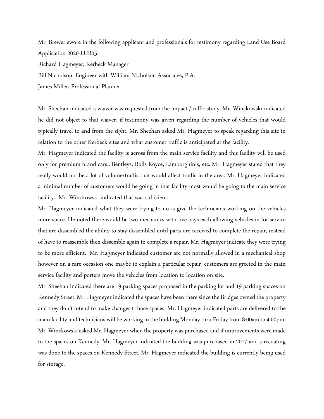Mr. Brewer swore in the following applicant and professionals for testimony regarding Land Use Board Application 2020-LUB05:

Richard Hagmeyer, Kerbeck Manager

Bill Nicholson, Engineer with William Nicholson Associates, P.A.

James Miller, Professional Planner

Mr. Sheehan indicated a waiver was requested from the impact /traffic study. Mr. Winckowski indicated he did not object to that waiver, if testimony was given regarding the number of vehicles that would typically travel to and from the sight. Mr. Sheehan asked Mr. Hagmeyer to speak regarding this site in relation to the other Kerbeck sites and what customer traffic is anticipated at the facility.

Mr. Hagmeyer indicated the facility is across from the main service facility and this facility will be used only for premium brand cars., Bentleys, Rolls Royce, Lamborghinis, etc. Mr. Hagmeyer stated that they really would not be a lot of volume/traffic that would affect traffic in the area. Mr. Hagmeyer indicated a minimal number of customers would be going in that facility most would be going to the main service facility. Mr. Winckowski indicated that was sufficient.

Mr. Hagmeyer indicated what they were trying to do is give the technicians working on the vehicles more space. He noted there would be two mechanics with five bays each allowing vehicles in for service that are dissembled the ability to stay dissembled until parts are received to complete the repair, instead of have to reassemble then dissemble again to complete a repair. Mr. Hagmeyer indicate they were trying to be more efficient. Mr. Hagmeyer indicated customer are not normally allowed in a mechanical shop however on a rare occasion one maybe to explain a particular repair, customers are greeted in the main service facility and porters move the vehicles from location to location on site.

Mr. Sheehan indicated there are 19 parking spaces proposed in the parking lot and 19 parking spaces on Kennedy Street. Mr. Hagmeyer indicated the spaces have been there since the Bridges owned the property and they don't intend to make changes t those spaces. Mr. Hagmeyer indicated parts are delivered to the main facility and technicians will be working in the building Monday thru Friday from 8:00am to 4:00pm. Mr. Winckowski asked Mr. Hagmeyer when the property was purchased and if improvements were made to the spaces on Kennedy. Mr. Hagmeyer indicated the building was purchased in 2017 and a recoating was done to the spaces on Kennedy Street. Mr. Hagmeyer indicated the building is currently being used for storage.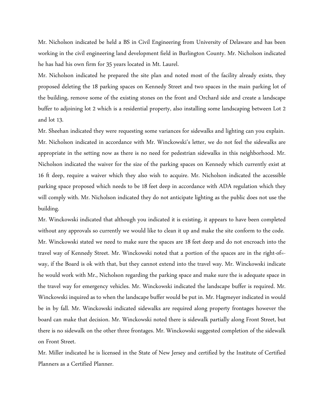Mr. Nicholson indicated be held a BS in Civil Engineering from University of Delaware and has been working in the civil engineering land development field in Burlington County. Mr. Nicholson indicated he has had his own firm for 35 years located in Mt. Laurel.

Mr. Nicholson indicated he prepared the site plan and noted most of the facility already exists, they proposed deleting the 18 parking spaces on Kennedy Street and two spaces in the main parking lot of the building, remove some of the existing stones on the front and Orchard side and create a landscape buffer to adjoining lot 2 which is a residential property, also installing some landscaping between Lot 2 and lot 13.

Mr. Sheehan indicated they were requesting some variances for sidewalks and lighting can you explain. Mr. Nicholson indicated in accordance with Mr. Winckowski's letter, we do not feel the sidewalks are appropriate in the setting now as there is no need for pedestrian sidewalks in this neighborhood. Mr. Nicholson indicated the waiver for the size of the parking spaces on Kennedy which currently exist at 16 ft deep, require a waiver which they also wish to acquire. Mr. Nicholson indicated the accessible parking space proposed which needs to be 18 feet deep in accordance with ADA regulation which they will comply with. Mr. Nicholson indicated they do not anticipate lighting as the public does not use the building.

Mr. Winckowski indicated that although you indicated it is existing, it appears to have been completed without any approvals so currently we would like to clean it up and make the site conform to the code. Mr. Winckowski stated we need to make sure the spaces are 18 feet deep and do not encroach into the travel way of Kennedy Street. Mr. Winckowski noted that a portion of the spaces are in the right-of= way, if the Board is ok with that, but they cannot extend into the travel way. Mr. Winckowski indicate he would work with Mr., Nicholson regarding the parking space and make sure the is adequate space in the travel way for emergency vehicles. Mr. Winckowski indicated the landscape buffer is required. Mr. Winckowski inquired as to when the landscape buffer would be put in. Mr. Hagmeyer indicated in would be in by fall. Mr. Winckowski indicated sidewalks are required along property frontages however the board can make that decision. Mr. Winckowski noted there is sidewalk partially along Front Street, but there is no sidewalk on the other three frontages. Mr. Winckowski suggested completion of the sidewalk on Front Street.

Mr. Miller indicated he is licensed in the State of New Jersey and certified by the Institute of Certified Planners as a Certified Planner.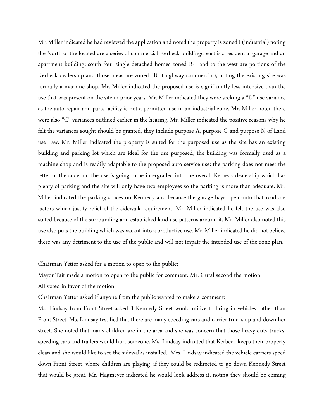Mr. Miller indicated he had reviewed the application and noted the property is zoned I (industrial) noting the North of the located are a series of commercial Kerbeck buildings; east is a residential garage and an apartment building; south four single detached homes zoned R-1 and to the west are portions of the Kerbeck dealership and those areas are zoned HC (highway commercial), noting the existing site was formally a machine shop. Mr. Miller indicated the proposed use is significantly less intensive than the use that was present on the site in prior years. Mr. Miller indicated they were seeking a "D" use variance as the auto repair and parts facility is not a permitted use in an industrial zone. Mr. Miller noted there were also "C" variances outlined earlier in the hearing. Mr. Miller indicated the positive reasons why he felt the variances sought should be granted, they include purpose A, purpose G and purpose N of Land use Law. Mr. Miller indicated the property is suited for the purposed use as the site has an existing building and parking lot which are ideal for the use purposed, the building was formally used as a machine shop and is readily adaptable to the proposed auto service use; the parking does not meet the letter of the code but the use is going to be intergraded into the overall Kerbeck dealership which has plenty of parking and the site will only have two employees so the parking is more than adequate. Mr. Miller indicated the parking spaces on Kennedy and because the garage bays open onto that road are factors which justify relief of the sidewalk requirement. Mr. Miller indicated he felt the use was also suited because of the surrounding and established land use patterns around it. Mr. Miller also noted this use also puts the building which was vacant into a productive use. Mr. Miller indicated he did not believe there was any detriment to the use of the public and will not impair the intended use of the zone plan.

Chairman Yetter asked for a motion to open to the public:

Mayor Tait made a motion to open to the public for comment. Mr. Gural second the motion.

All voted in favor of the motion.

Chairman Yetter asked if anyone from the public wanted to make a comment:

Ms. Lindsay from Front Street asked if Kennedy Street would utilize to bring in vehicles rather than Front Street. Ms. Lindsay testified that there are many speeding cars and carrier trucks up and down her street. She noted that many children are in the area and she was concern that those heavy-duty trucks, speeding cars and trailers would hurt someone. Ms. Lindsay indicated that Kerbeck keeps their property clean and she would like to see the sidewalks installed. Mrs. Lindsay indicated the vehicle carriers speed down Front Street, where children are playing, if they could be redirected to go down Kennedy Street that would be great. Mr. Hagmeyer indicated he would look address it, noting they should be coming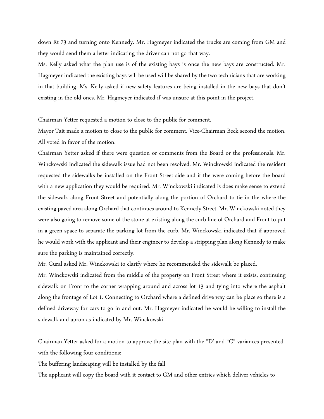down Rt 73 and turning onto Kennedy. Mr. Hagmeyer indicated the trucks are coming from GM and they would send them a letter indicating the driver can not go that way.

Ms. Kelly asked what the plan use is of the existing bays is once the new bays are constructed. Mr. Hagmeyer indicated the existing bays will be used will be shared by the two technicians that are working in that building. Ms. Kelly asked if new safety features are being installed in the new bays that don't existing in the old ones. Mr. Hagmeyer indicated if was unsure at this point in the project.

Chairman Yetter requested a motion to close to the public for comment.

Mayor Tait made a motion to close to the public for comment. Vice-Chairman Beck second the motion. All voted in favor of the motion.

Chairman Yetter asked if there were question or comments from the Board or the professionals. Mr. Winckowski indicated the sidewalk issue had not been resolved. Mr. Winckowski indicated the resident requested the sidewalks be installed on the Front Street side and if the were coming before the board with a new application they would be required. Mr. Winckowski indicated is does make sense to extend the sidewalk along Front Street and potentially along the portion of Orchard to tie in the where the existing paved area along Orchard that continues around to Kennedy Street. Mr. Winckowski noted they were also going to remove some of the stone at existing along the curb line of Orchard and Front to put in a green space to separate the parking lot from the curb. Mr. Winckowski indicated that if approved he would work with the applicant and their engineer to develop a stripping plan along Kennedy to make sure the parking is maintained correctly.

Mr. Gural asked Mr. Winckowski to clarify where he recommended the sidewalk be placed.

Mr. Winckowski indicated from the middle of the property on Front Street where it exists, continuing sidewalk on Front to the corner wrapping around and across lot 13 and tying into where the asphalt along the frontage of Lot 1. Connecting to Orchard where a defined drive way can be place so there is a defined driveway for cars to go in and out. Mr. Hagmeyer indicated he would be willing to install the sidewalk and apron as indicated by Mr. Winckowski.

Chairman Yetter asked for a motion to approve the site plan with the "D' and "C" variances presented with the following four conditions:

The buffering landscaping will be installed by the fall

The applicant will copy the board with it contact to GM and other entries which deliver vehicles to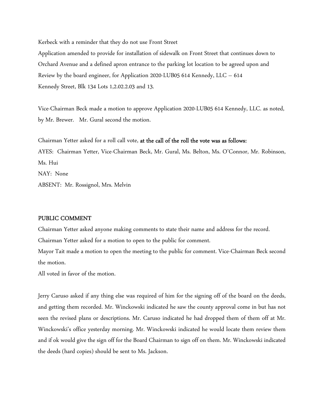Kerbeck with a reminder that they do not use Front Street

Application amended to provide for installation of sidewalk on Front Street that continues down to Orchard Avenue and a defined apron entrance to the parking lot location to be agreed upon and Review by the board engineer, for Application 2020-LUB05 614 Kennedy, LLC – 614 Kennedy Street, Blk 134 Lots 1,2.02.2.03 and 13.

Vice-Chairman Beck made a motion to approve Application 2020-LUB05 614 Kennedy, LLC. as noted, by Mr. Brewer. Mr. Gural second the motion.

Chairman Yetter asked for a roll call vote, at the call of the roll the vote was as follows: AYES: Chairman Yetter, Vice-Chairman Beck, Mr. Gural, Ms. Belton, Ms. O'Connor, Mr. Robinson, Ms. Hui NAY: None ABSENT: Mr. Rossignol, Mrs. Melvin

## PUBLIC COMMENT

Chairman Yetter asked anyone making comments to state their name and address for the record. Chairman Yetter asked for a motion to open to the public for comment.

Mayor Tait made a motion to open the meeting to the public for comment. Vice-Chairman Beck second the motion.

All voted in favor of the motion.

Jerry Caruso asked if any thing else was required of him for the signing off of the board on the deeds, and getting them recorded. Mr. Winckowski indicated he saw the county approval come in but has not seen the revised plans or descriptions. Mr. Caruso indicated he had dropped them of them off at Mr. Winckowski's office yesterday morning. Mr. Winckowski indicated he would locate them review them and if ok would give the sign off for the Board Chairman to sign off on them. Mr. Winckowski indicated the deeds (hard copies) should be sent to Ms. Jackson.